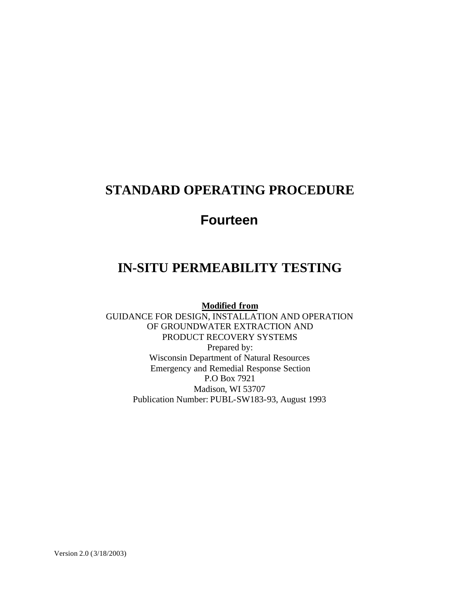## **STANDARD OPERATING PROCEDURE**

# **Fourteen**

# **IN-SITU PERMEABILITY TESTING**

**Modified from**

GUIDANCE FOR DESIGN, INSTALLATION AND OPERATION OF GROUNDWATER EXTRACTION AND PRODUCT RECOVERY SYSTEMS Prepared by: Wisconsin Department of Natural Resources Emergency and Remedial Response Section P.O Box 7921 Madison, WI 53707 Publication Number: PUBL-SW183-93, August 1993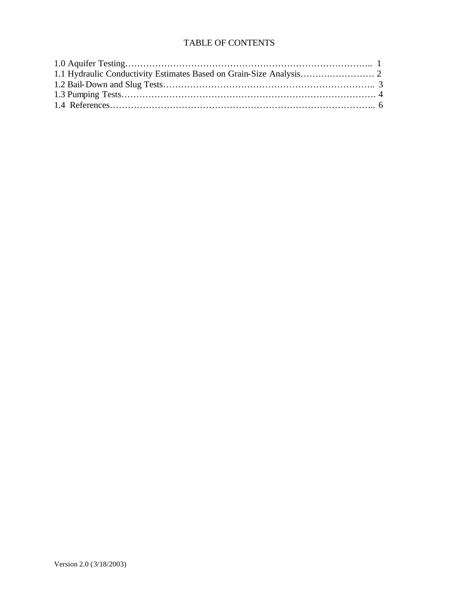## TABLE OF CONTENTS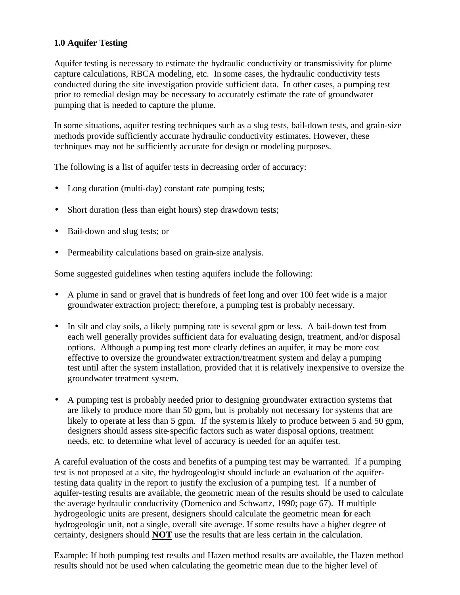## **1.0 Aquifer Testing**

Aquifer testing is necessary to estimate the hydraulic conductivity or transmissivity for plume capture calculations, RBCA modeling, etc. In some cases, the hydraulic conductivity tests conducted during the site investigation provide sufficient data. In other cases, a pumping test prior to remedial design may be necessary to accurately estimate the rate of groundwater pumping that is needed to capture the plume.

In some situations, aquifer testing techniques such as a slug tests, bail-down tests, and grain-size methods provide sufficiently accurate hydraulic conductivity estimates. However, these techniques may not be sufficiently accurate for design or modeling purposes.

The following is a list of aquifer tests in decreasing order of accuracy:

- Long duration (multi-day) constant rate pumping tests;
- Short duration (less than eight hours) step drawdown tests;
- Bail-down and slug tests; or
- Permeability calculations based on grain-size analysis.

Some suggested guidelines when testing aquifers include the following:

- A plume in sand or gravel that is hundreds of feet long and over 100 feet wide is a major groundwater extraction project; therefore, a pumping test is probably necessary.
- In silt and clay soils, a likely pumping rate is several gpm or less. A bail-down test from each well generally provides sufficient data for evaluating design, treatment, and/or disposal options. Although a pumping test more clearly defines an aquifer, it may be more cost effective to oversize the groundwater extraction/treatment system and delay a pumping test until after the system installation, provided that it is relatively inexpensive to oversize the groundwater treatment system.
- A pumping test is probably needed prior to designing groundwater extraction systems that are likely to produce more than 50 gpm, but is probably not necessary for systems that are likely to operate at less than 5 gpm. If the system is likely to produce between 5 and 50 gpm, designers should assess site-specific factors such as water disposal options, treatment needs, etc. to determine what level of accuracy is needed for an aquifer test.

A careful evaluation of the costs and benefits of a pumping test may be warranted. If a pumping test is not proposed at a site, the hydrogeologist should include an evaluation of the aquifertesting data quality in the report to justify the exclusion of a pumping test. If a number of aquifer-testing results are available, the geometric mean of the results should be used to calculate the average hydraulic conductivity (Domenico and Schwartz, 1990; page 67). If multiple hydrogeologic units are present, designers should calculate the geometric mean for each hydrogeologic unit, not a single, overall site average. If some results have a higher degree of certainty, designers should **NOT** use the results that are less certain in the calculation.

Example: If both pumping test results and Hazen method results are available, the Hazen method results should not be used when calculating the geometric mean due to the higher level of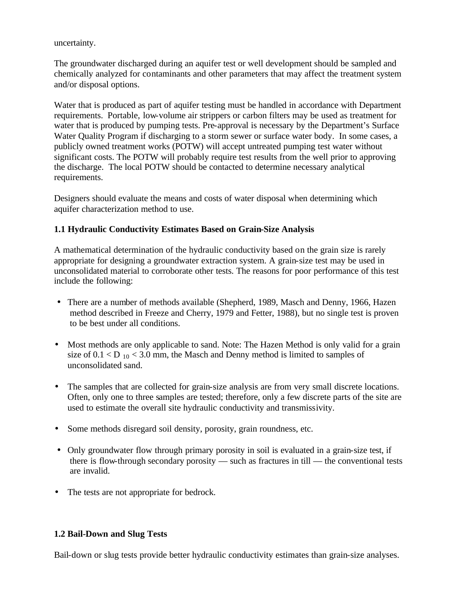uncertainty.

The groundwater discharged during an aquifer test or well development should be sampled and chemically analyzed for contaminants and other parameters that may affect the treatment system and/or disposal options.

Water that is produced as part of aquifer testing must be handled in accordance with Department requirements. Portable, low-volume air strippers or carbon filters may be used as treatment for water that is produced by pumping tests. Pre-approval is necessary by the Department's Surface Water Quality Program if discharging to a storm sewer or surface water body. In some cases, a publicly owned treatment works (POTW) will accept untreated pumping test water without significant costs. The POTW will probably require test results from the well prior to approving the discharge. The local POTW should be contacted to determine necessary analytical requirements.

Designers should evaluate the means and costs of water disposal when determining which aquifer characterization method to use.

## **1.1 Hydraulic Conductivity Estimates Based on Grain-Size Analysis**

A mathematical determination of the hydraulic conductivity based on the grain size is rarely appropriate for designing a groundwater extraction system. A grain-size test may be used in unconsolidated material to corroborate other tests. The reasons for poor performance of this test include the following:

- There are a number of methods available (Shepherd, 1989, Masch and Denny, 1966, Hazen method described in Freeze and Cherry, 1979 and Fetter, 1988), but no single test is proven to be best under all conditions.
- Most methods are only applicable to sand. Note: The Hazen Method is only valid for a grain size of  $0.1 < D_{10} < 3.0$  mm, the Masch and Denny method is limited to samples of unconsolidated sand.
- The samples that are collected for grain-size analysis are from very small discrete locations. Often, only one to three samples are tested; therefore, only a few discrete parts of the site are used to estimate the overall site hydraulic conductivity and transmissivity.
- Some methods disregard soil density, porosity, grain roundness, etc.
- Only groundwater flow through primary porosity in soil is evaluated in a grain-size test, if there is flow-through secondary porosity — such as fractures in till — the conventional tests are invalid.
- The tests are not appropriate for bedrock.

## **1.2 Bail-Down and Slug Tests**

Bail-down or slug tests provide better hydraulic conductivity estimates than grain-size analyses.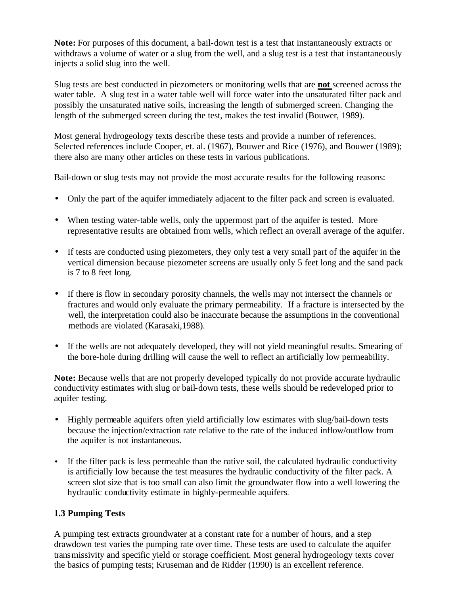**Note:** For purposes of this document, a bail-down test is a test that instantaneously extracts or withdraws a volume of water or a slug from the well, and a slug test is a test that instantaneously injects a solid slug into the well.

Slug tests are best conducted in piezometers or monitoring wells that are **not** screened across the water table. A slug test in a water table well will force water into the unsaturated filter pack and possibly the unsaturated native soils, increasing the length of submerged screen. Changing the length of the submerged screen during the test, makes the test invalid (Bouwer, 1989).

Most general hydrogeology texts describe these tests and provide a number of references. Selected references include Cooper, et. al. (1967), Bouwer and Rice (1976), and Bouwer (1989); there also are many other articles on these tests in various publications.

Bail-down or slug tests may not provide the most accurate results for the following reasons:

- Only the part of the aquifer immediately adjacent to the filter pack and screen is evaluated.
- When testing water-table wells, only the uppermost part of the aquifer is tested. More representative results are obtained from wells, which reflect an overall average of the aquifer.
- If tests are conducted using piezometers, they only test a very small part of the aquifer in the vertical dimension because piezometer screens are usually only 5 feet long and the sand pack is 7 to 8 feet long.
- If there is flow in secondary porosity channels, the wells may not intersect the channels or fractures and would only evaluate the primary permeability. If a fracture is intersected by the well, the interpretation could also be inaccurate because the assumptions in the conventional methods are violated (Karasaki,1988).
- If the wells are not adequately developed, they will not yield meaningful results. Smearing of the bore-hole during drilling will cause the well to reflect an artificially low permeability.

**Note:** Because wells that are not properly developed typically do not provide accurate hydraulic conductivity estimates with slug or bail-down tests, these wells should be redeveloped prior to aquifer testing.

- Highly permeable aquifers often yield artificially low estimates with slug/bail-down tests because the injection/extraction rate relative to the rate of the induced inflow/outflow from the aquifer is not instantaneous.
- If the filter pack is less permeable than the native soil, the calculated hydraulic conductivity is artificially low because the test measures the hydraulic conductivity of the filter pack. A screen slot size that is too small can also limit the groundwater flow into a well lowering the hydraulic conductivity estimate in highly-permeable aquifers.

## **1.3 Pumping Tests**

A pumping test extracts groundwater at a constant rate for a number of hours, and a step drawdown test varies the pumping rate over time. These tests are used to calculate the aquifer transmissivity and specific yield or storage coefficient. Most general hydrogeology texts cover the basics of pumping tests; Kruseman and de Ridder (1990) is an excellent reference.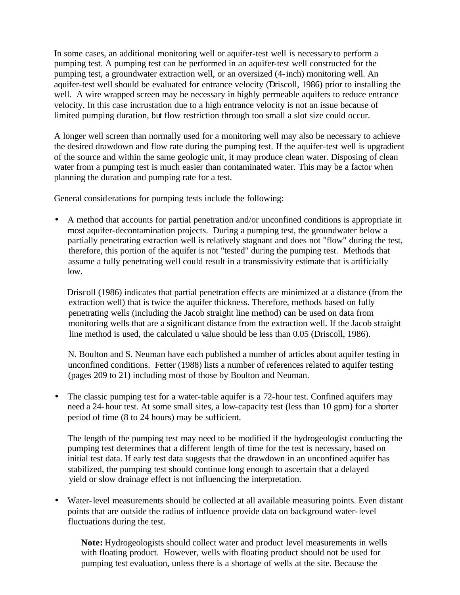In some cases, an additional monitoring well or aquifer-test well is necessary to perform a pumping test. A pumping test can be performed in an aquifer-test well constructed for the pumping test, a groundwater extraction well, or an oversized (4-inch) monitoring well. An aquifer-test well should be evaluated for entrance velocity (Driscoll, 1986) prior to installing the well. A wire wrapped screen may be necessary in highly permeable aquifers to reduce entrance velocity. In this case incrustation due to a high entrance velocity is not an issue because of limited pumping duration, but flow restriction through too small a slot size could occur.

A longer well screen than normally used for a monitoring well may also be necessary to achieve the desired drawdown and flow rate during the pumping test. If the aquifer-test well is upgradient of the source and within the same geologic unit, it may produce clean water. Disposing of clean water from a pumping test is much easier than contaminated water. This may be a factor when planning the duration and pumping rate for a test.

General considerations for pumping tests include the following:

• A method that accounts for partial penetration and/or unconfined conditions is appropriate in most aquifer-decontamination projects. During a pumping test, the groundwater below a partially penetrating extraction well is relatively stagnant and does not "flow" during the test, therefore, this portion of the aquifer is not "tested" during the pumping test. Methods that assume a fully penetrating well could result in a transmissivity estimate that is artificially low.

 Driscoll (1986) indicates that partial penetration effects are minimized at a distance (from the extraction well) that is twice the aquifer thickness. Therefore, methods based on fully penetrating wells (including the Jacob straight line method) can be used on data from monitoring wells that are a significant distance from the extraction well. If the Jacob straight line method is used, the calculated u value should be less than 0.05 (Driscoll, 1986).

 N. Boulton and S. Neuman have each published a number of articles about aquifer testing in unconfined conditions. Fetter (1988) lists a number of references related to aquifer testing (pages 209 to 21) including most of those by Boulton and Neuman.

The classic pumping test for a water-table aquifer is a 72-hour test. Confined aquifers may need a 24-hour test. At some small sites, a low-capacity test (less than 10 gpm) for a shorter period of time (8 to 24 hours) may be sufficient.

The length of the pumping test may need to be modified if the hydrogeologist conducting the pumping test determines that a different length of time for the test is necessary, based on initial test data. If early test data suggests that the drawdown in an unconfined aquifer has stabilized, the pumping test should continue long enough to ascertain that a delayed yield or slow drainage effect is not influencing the interpretation.

• Water-level measurements should be collected at all available measuring points. Even distant points that are outside the radius of influence provide data on background water-level fluctuations during the test.

**Note:** Hydrogeologists should collect water and product level measurements in wells with floating product. However, wells with floating product should not be used for pumping test evaluation, unless there is a shortage of wells at the site. Because the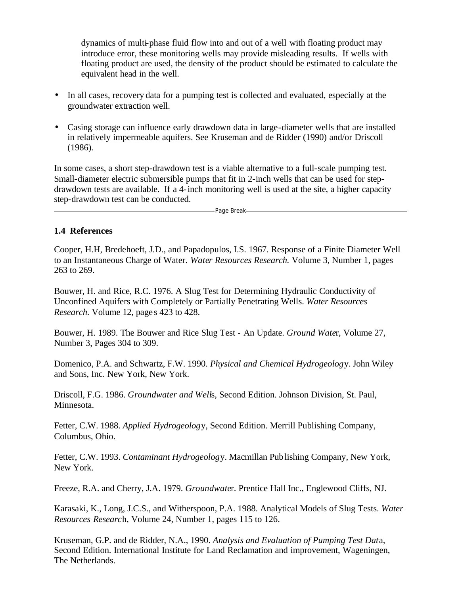dynamics of multi-phase fluid flow into and out of a well with floating product may introduce error, these monitoring wells may provide misleading results. If wells with floating product are used, the density of the product should be estimated to calculate the equivalent head in the well.

- In all cases, recovery data for a pumping test is collected and evaluated, especially at the groundwater extraction well.
- Casing storage can influence early drawdown data in large-diameter wells that are installed in relatively impermeable aquifers. See Kruseman and de Ridder (1990) and/or Driscoll (1986).

In some cases, a short step-drawdown test is a viable alternative to a full-scale pumping test. Small-diameter electric submersible pumps that fit in 2-inch wells that can be used for stepdrawdown tests are available. If a 4-inch monitoring well is used at the site, a higher capacity step-drawdown test can be conducted.

-Page Break-

#### **1.4 References**

Cooper, H.H, Bredehoeft, J.D., and Papadopulos, I.S. 1967. Response of a Finite Diameter Well to an Instantaneous Charge of Water. *Water Resources Research.* Volume 3, Number 1, pages 263 to 269.

Bouwer, H. and Rice, R.C. 1976. A Slug Test for Determining Hydraulic Conductivity of Unconfined Aquifers with Completely or Partially Penetrating Wells. *Water Resources Research.* Volume 12, page s 423 to 428.

Bouwer, H. 1989. The Bouwer and Rice Slug Test - An Update. *Ground Wate*r, Volume 27, Number 3, Pages 304 to 309.

Domenico, P.A. and Schwartz, F.W. 1990. *Physical and Chemical Hydrogeolog*y. John Wiley and Sons, Inc. New York, New York.

Driscoll, F.G. 1986. *Groundwater and Well*s, Second Edition. Johnson Division, St. Paul, Minnesota.

Fetter, C.W. 1988. *Applied Hydrogeolog*y, Second Edition. Merrill Publishing Company, Columbus, Ohio.

Fetter, C.W. 1993. *Contaminant Hydrogeolog*y. Macmillan Publishing Company, New York, New York.

Freeze, R.A. and Cherry, J.A. 1979. *Groundwate*r. Prentice Hall Inc., Englewood Cliffs, NJ.

Karasaki, K., Long, J.C.S., and Witherspoon, P.A. 1988. Analytical Models of Slug Tests. *Water Resources Researc*h, Volume 24, Number 1, pages 115 to 126.

Kruseman, G.P. and de Ridder, N.A., 1990. *Analysis and Evaluation of Pumping Test Dat*a, Second Edition. International Institute for Land Reclamation and improvement, Wageningen, The Netherlands.